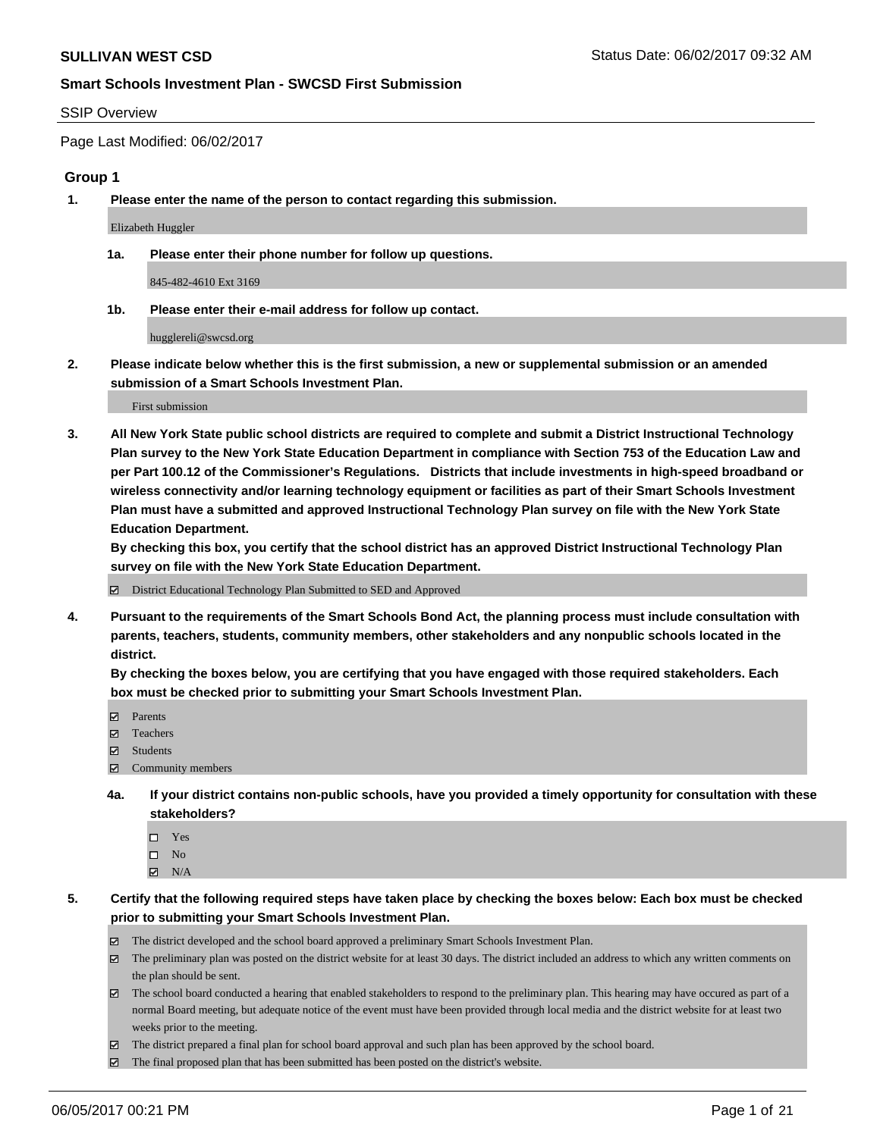#### SSIP Overview

Page Last Modified: 06/02/2017

#### **Group 1**

**1. Please enter the name of the person to contact regarding this submission.**

Elizabeth Huggler

**1a. Please enter their phone number for follow up questions.**

845-482-4610 Ext 3169

**1b. Please enter their e-mail address for follow up contact.**

hugglereli@swcsd.org

**2. Please indicate below whether this is the first submission, a new or supplemental submission or an amended submission of a Smart Schools Investment Plan.**

First submission

**3. All New York State public school districts are required to complete and submit a District Instructional Technology Plan survey to the New York State Education Department in compliance with Section 753 of the Education Law and per Part 100.12 of the Commissioner's Regulations. Districts that include investments in high-speed broadband or wireless connectivity and/or learning technology equipment or facilities as part of their Smart Schools Investment Plan must have a submitted and approved Instructional Technology Plan survey on file with the New York State Education Department.** 

**By checking this box, you certify that the school district has an approved District Instructional Technology Plan survey on file with the New York State Education Department.**

District Educational Technology Plan Submitted to SED and Approved

**4. Pursuant to the requirements of the Smart Schools Bond Act, the planning process must include consultation with parents, teachers, students, community members, other stakeholders and any nonpublic schools located in the district.** 

**By checking the boxes below, you are certifying that you have engaged with those required stakeholders. Each box must be checked prior to submitting your Smart Schools Investment Plan.**

- **マ** Parents
- □ Teachers
- Students
- $\Xi$  Community members
- **4a. If your district contains non-public schools, have you provided a timely opportunity for consultation with these stakeholders?**
	- Yes
	- $\hfill \square$  No
	- $\boxtimes$  N/A
- **5. Certify that the following required steps have taken place by checking the boxes below: Each box must be checked prior to submitting your Smart Schools Investment Plan.**
	- The district developed and the school board approved a preliminary Smart Schools Investment Plan.
	- $\boxtimes$  The preliminary plan was posted on the district website for at least 30 days. The district included an address to which any written comments on the plan should be sent.
	- $\boxtimes$  The school board conducted a hearing that enabled stakeholders to respond to the preliminary plan. This hearing may have occured as part of a normal Board meeting, but adequate notice of the event must have been provided through local media and the district website for at least two weeks prior to the meeting.
	- The district prepared a final plan for school board approval and such plan has been approved by the school board.
	- $\boxtimes$  The final proposed plan that has been submitted has been posted on the district's website.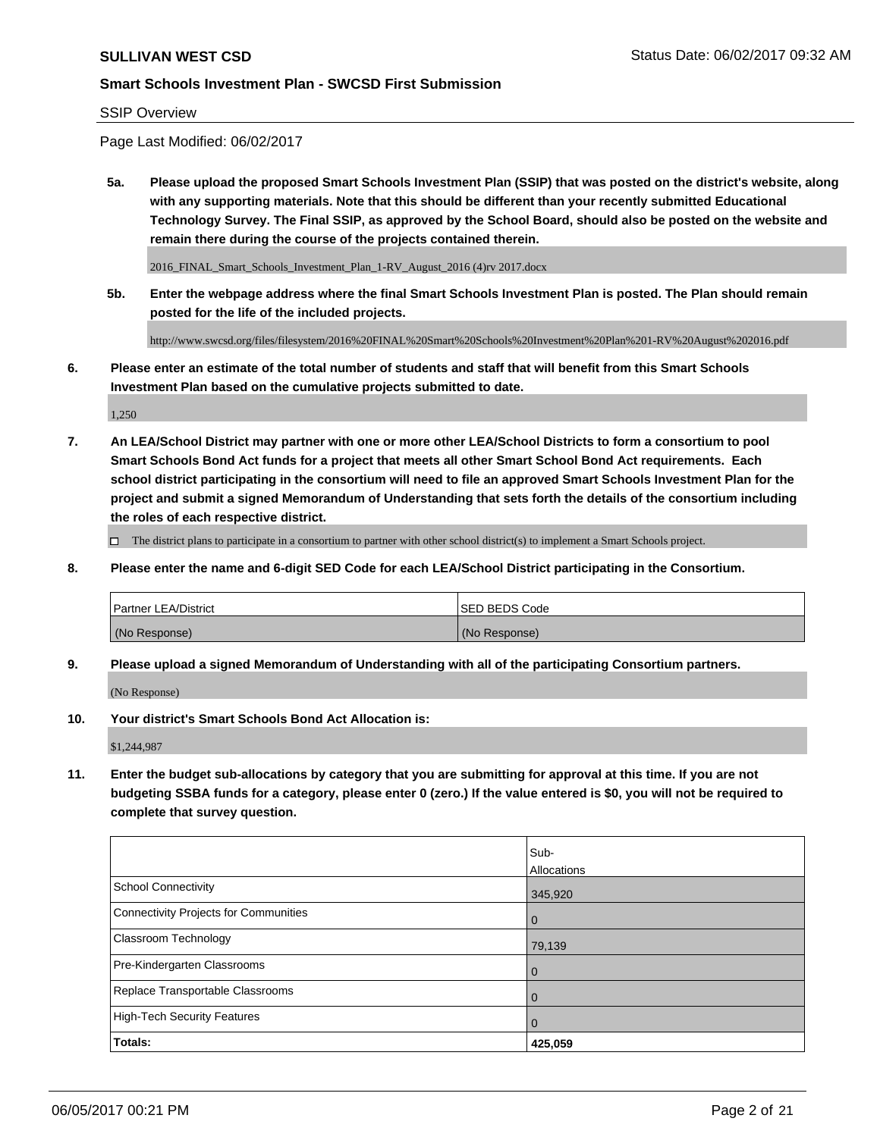#### SSIP Overview

Page Last Modified: 06/02/2017

**5a. Please upload the proposed Smart Schools Investment Plan (SSIP) that was posted on the district's website, along with any supporting materials. Note that this should be different than your recently submitted Educational Technology Survey. The Final SSIP, as approved by the School Board, should also be posted on the website and remain there during the course of the projects contained therein.**

2016\_FINAL\_Smart\_Schools\_Investment\_Plan\_1-RV\_August\_2016 (4)rv 2017.docx

**5b. Enter the webpage address where the final Smart Schools Investment Plan is posted. The Plan should remain posted for the life of the included projects.**

http://www.swcsd.org/files/filesystem/2016%20FINAL%20Smart%20Schools%20Investment%20Plan%201-RV%20August%202016.pdf

**6. Please enter an estimate of the total number of students and staff that will benefit from this Smart Schools Investment Plan based on the cumulative projects submitted to date.**

1,250

**7. An LEA/School District may partner with one or more other LEA/School Districts to form a consortium to pool Smart Schools Bond Act funds for a project that meets all other Smart School Bond Act requirements. Each school district participating in the consortium will need to file an approved Smart Schools Investment Plan for the project and submit a signed Memorandum of Understanding that sets forth the details of the consortium including the roles of each respective district.**

 $\Box$  The district plans to participate in a consortium to partner with other school district(s) to implement a Smart Schools project.

**8. Please enter the name and 6-digit SED Code for each LEA/School District participating in the Consortium.**

| <b>Partner LEA/District</b> | <b>ISED BEDS Code</b> |
|-----------------------------|-----------------------|
| (No Response)               | (No Response)         |

**9. Please upload a signed Memorandum of Understanding with all of the participating Consortium partners.**

(No Response)

**10. Your district's Smart Schools Bond Act Allocation is:**

\$1,244,987

**11. Enter the budget sub-allocations by category that you are submitting for approval at this time. If you are not budgeting SSBA funds for a category, please enter 0 (zero.) If the value entered is \$0, you will not be required to complete that survey question.**

|                                              | Sub-           |
|----------------------------------------------|----------------|
|                                              | Allocations    |
| <b>School Connectivity</b>                   | 345,920        |
| <b>Connectivity Projects for Communities</b> | $\overline{0}$ |
| Classroom Technology                         | 79,139         |
| Pre-Kindergarten Classrooms                  | $\overline{0}$ |
| Replace Transportable Classrooms             | $\mathbf 0$    |
| <b>High-Tech Security Features</b>           | 0              |
| Totals:                                      | 425,059        |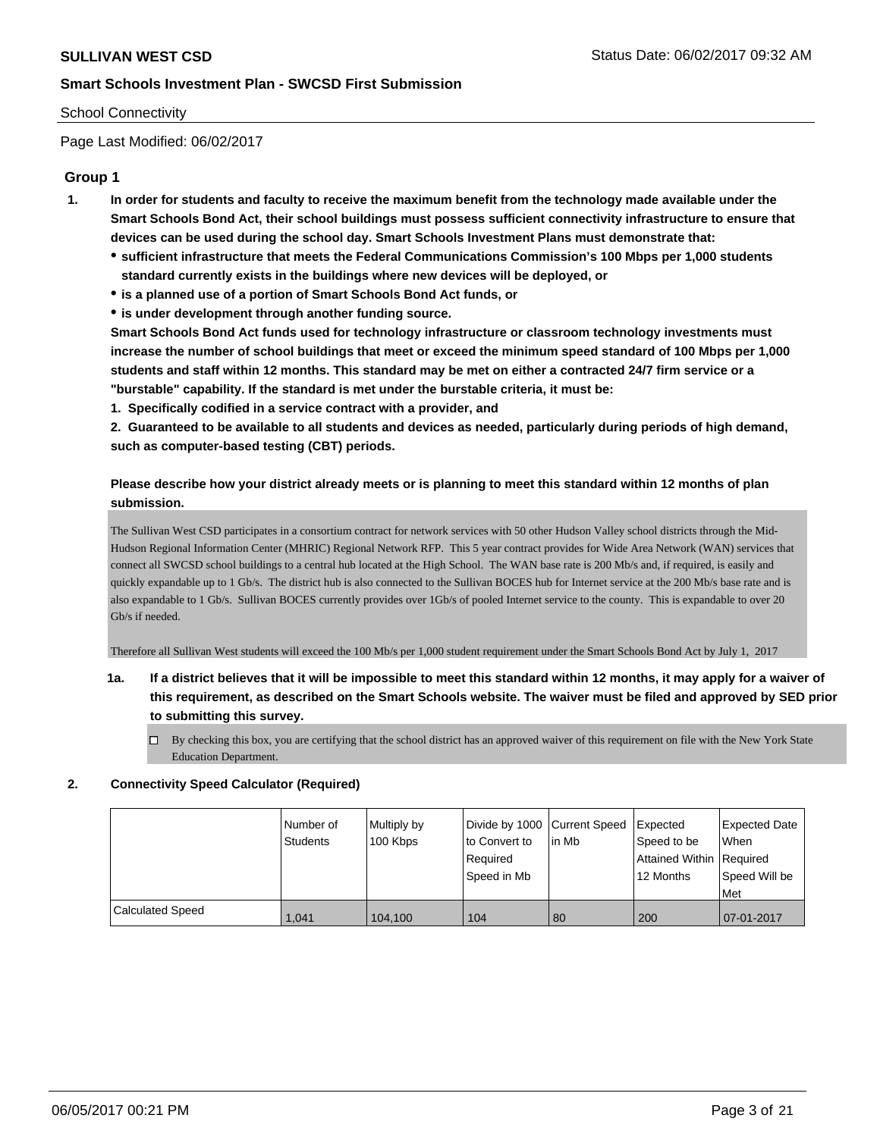#### School Connectivity

Page Last Modified: 06/02/2017

### **Group 1**

- **1. In order for students and faculty to receive the maximum benefit from the technology made available under the Smart Schools Bond Act, their school buildings must possess sufficient connectivity infrastructure to ensure that devices can be used during the school day. Smart Schools Investment Plans must demonstrate that:**
	- **sufficient infrastructure that meets the Federal Communications Commission's 100 Mbps per 1,000 students standard currently exists in the buildings where new devices will be deployed, or**
	- **is a planned use of a portion of Smart Schools Bond Act funds, or**
	- **is under development through another funding source.**

**Smart Schools Bond Act funds used for technology infrastructure or classroom technology investments must increase the number of school buildings that meet or exceed the minimum speed standard of 100 Mbps per 1,000 students and staff within 12 months. This standard may be met on either a contracted 24/7 firm service or a "burstable" capability. If the standard is met under the burstable criteria, it must be:**

**1. Specifically codified in a service contract with a provider, and**

**2. Guaranteed to be available to all students and devices as needed, particularly during periods of high demand, such as computer-based testing (CBT) periods.**

### **Please describe how your district already meets or is planning to meet this standard within 12 months of plan submission.**

The Sullivan West CSD participates in a consortium contract for network services with 50 other Hudson Valley school districts through the Mid-Hudson Regional Information Center (MHRIC) Regional Network RFP. This 5 year contract provides for Wide Area Network (WAN) services that connect all SWCSD school buildings to a central hub located at the High School. The WAN base rate is 200 Mb/s and, if required, is easily and quickly expandable up to 1 Gb/s. The district hub is also connected to the Sullivan BOCES hub for Internet service at the 200 Mb/s base rate and is also expandable to 1 Gb/s. Sullivan BOCES currently provides over 1Gb/s of pooled Internet service to the county. This is expandable to over 20 Gb/s if needed.

Therefore all Sullivan West students will exceed the 100 Mb/s per 1,000 student requirement under the Smart Schools Bond Act by July 1, 2017

## **1a. If a district believes that it will be impossible to meet this standard within 12 months, it may apply for a waiver of this requirement, as described on the Smart Schools website. The waiver must be filed and approved by SED prior to submitting this survey.**

By checking this box, you are certifying that the school district has an approved waiver of this requirement on file with the New York State Education Department.

#### **2. Connectivity Speed Calculator (Required)**

|                         | Number of<br><b>Students</b> | Multiply by<br>100 Kbps | Divide by 1000 Current Speed<br>to Convert to<br>Required<br>Speed in Mb | l in Mb | <b>Expected</b><br>Speed to be<br>Attained Within Required<br>12 Months | <b>Expected Date</b><br><b>When</b><br>Speed Will be<br>Met |
|-------------------------|------------------------------|-------------------------|--------------------------------------------------------------------------|---------|-------------------------------------------------------------------------|-------------------------------------------------------------|
| <b>Calculated Speed</b> | 1.041                        | 104,100                 | 104                                                                      | 80      | 200                                                                     | 07-01-2017                                                  |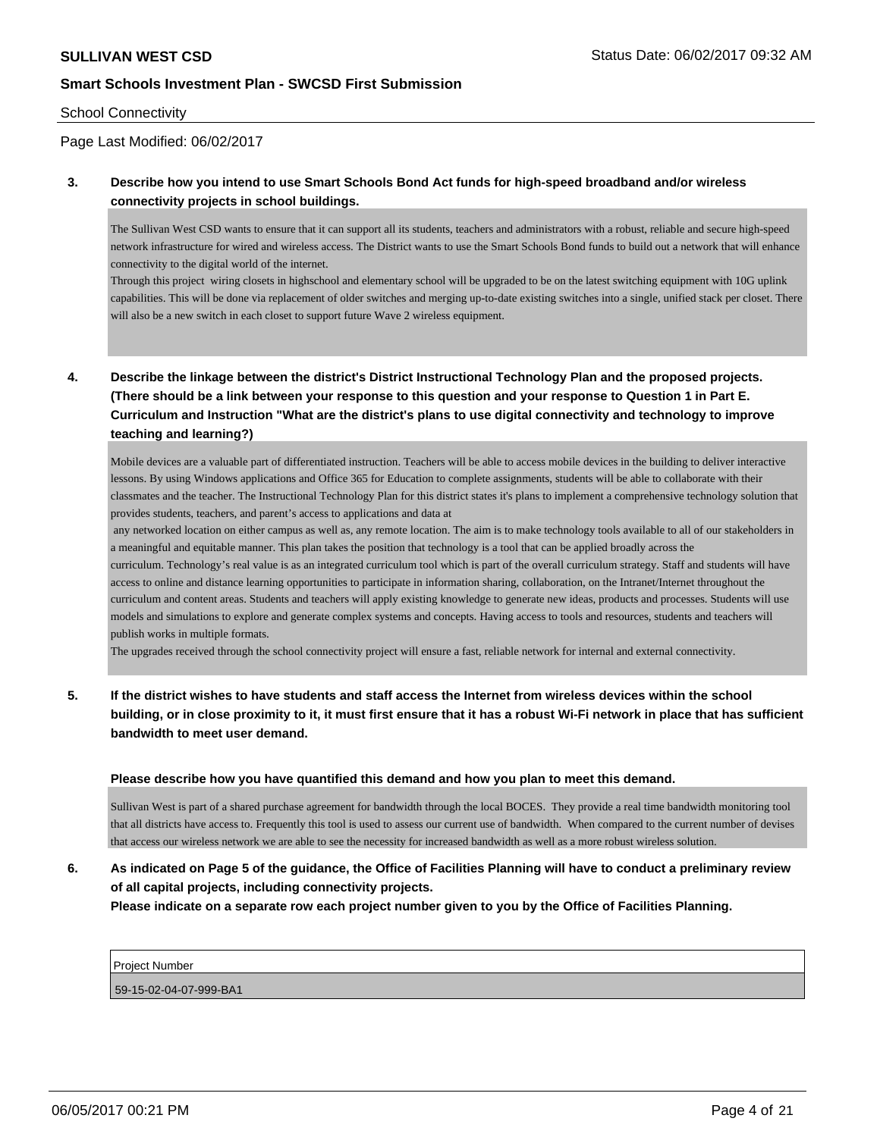#### School Connectivity

### Page Last Modified: 06/02/2017

#### **3. Describe how you intend to use Smart Schools Bond Act funds for high-speed broadband and/or wireless connectivity projects in school buildings.**

The Sullivan West CSD wants to ensure that it can support all its students, teachers and administrators with a robust, reliable and secure high-speed network infrastructure for wired and wireless access. The District wants to use the Smart Schools Bond funds to build out a network that will enhance connectivity to the digital world of the internet.

Through this project wiring closets in highschool and elementary school will be upgraded to be on the latest switching equipment with 10G uplink capabilities. This will be done via replacement of older switches and merging up-to-date existing switches into a single, unified stack per closet. There will also be a new switch in each closet to support future Wave 2 wireless equipment.

**4. Describe the linkage between the district's District Instructional Technology Plan and the proposed projects. (There should be a link between your response to this question and your response to Question 1 in Part E. Curriculum and Instruction "What are the district's plans to use digital connectivity and technology to improve teaching and learning?)**

Mobile devices are a valuable part of differentiated instruction. Teachers will be able to access mobile devices in the building to deliver interactive lessons. By using Windows applications and Office 365 for Education to complete assignments, students will be able to collaborate with their classmates and the teacher. The Instructional Technology Plan for this district states it's plans to implement a comprehensive technology solution that provides students, teachers, and parent's access to applications and data at

 any networked location on either campus as well as, any remote location. The aim is to make technology tools available to all of our stakeholders in a meaningful and equitable manner. This plan takes the position that technology is a tool that can be applied broadly across the curriculum. Technology's real value is as an integrated curriculum tool which is part of the overall curriculum strategy. Staff and students will have access to online and distance learning opportunities to participate in information sharing, collaboration, on the Intranet/Internet throughout the curriculum and content areas. Students and teachers will apply existing knowledge to generate new ideas, products and processes. Students will use models and simulations to explore and generate complex systems and concepts. Having access to tools and resources, students and teachers will publish works in multiple formats.

The upgrades received through the school connectivity project will ensure a fast, reliable network for internal and external connectivity.

## **5. If the district wishes to have students and staff access the Internet from wireless devices within the school building, or in close proximity to it, it must first ensure that it has a robust Wi-Fi network in place that has sufficient bandwidth to meet user demand.**

#### **Please describe how you have quantified this demand and how you plan to meet this demand.**

Sullivan West is part of a shared purchase agreement for bandwidth through the local BOCES. They provide a real time bandwidth monitoring tool that all districts have access to. Frequently this tool is used to assess our current use of bandwidth. When compared to the current number of devises that access our wireless network we are able to see the necessity for increased bandwidth as well as a more robust wireless solution.

## **6. As indicated on Page 5 of the guidance, the Office of Facilities Planning will have to conduct a preliminary review of all capital projects, including connectivity projects.**

**Please indicate on a separate row each project number given to you by the Office of Facilities Planning.**

| <b>Project Number</b> |  |  |  |  |  |
|-----------------------|--|--|--|--|--|
|                       |  |  |  |  |  |

59-15-02-04-07-999-BA1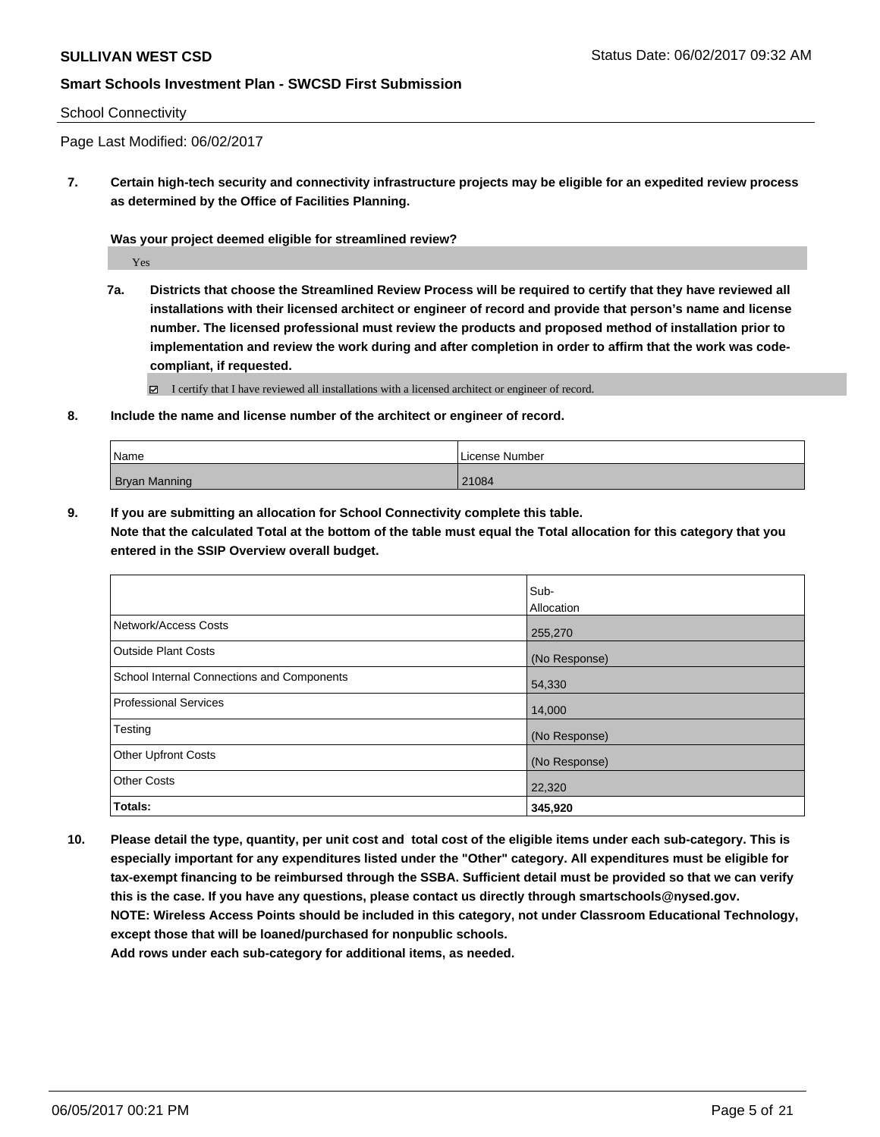#### School Connectivity

Page Last Modified: 06/02/2017

**7. Certain high-tech security and connectivity infrastructure projects may be eligible for an expedited review process as determined by the Office of Facilities Planning.**

**Was your project deemed eligible for streamlined review?**

Yes

**7a. Districts that choose the Streamlined Review Process will be required to certify that they have reviewed all installations with their licensed architect or engineer of record and provide that person's name and license number. The licensed professional must review the products and proposed method of installation prior to implementation and review the work during and after completion in order to affirm that the work was codecompliant, if requested.**

I certify that I have reviewed all installations with a licensed architect or engineer of record.

**8. Include the name and license number of the architect or engineer of record.**

| Name                 | License Number |
|----------------------|----------------|
| <b>Bryan Manning</b> | 21084          |

**9. If you are submitting an allocation for School Connectivity complete this table. Note that the calculated Total at the bottom of the table must equal the Total allocation for this category that you entered in the SSIP Overview overall budget.** 

|                                            | Sub-          |
|--------------------------------------------|---------------|
|                                            | Allocation    |
| Network/Access Costs                       | 255,270       |
| <b>Outside Plant Costs</b>                 | (No Response) |
| School Internal Connections and Components | 54,330        |
| <b>Professional Services</b>               | 14,000        |
| Testing                                    | (No Response) |
| <b>Other Upfront Costs</b>                 | (No Response) |
| <b>Other Costs</b>                         | 22,320        |
| Totals:                                    | 345,920       |

**10. Please detail the type, quantity, per unit cost and total cost of the eligible items under each sub-category. This is especially important for any expenditures listed under the "Other" category. All expenditures must be eligible for tax-exempt financing to be reimbursed through the SSBA. Sufficient detail must be provided so that we can verify this is the case. If you have any questions, please contact us directly through smartschools@nysed.gov. NOTE: Wireless Access Points should be included in this category, not under Classroom Educational Technology, except those that will be loaned/purchased for nonpublic schools. Add rows under each sub-category for additional items, as needed.**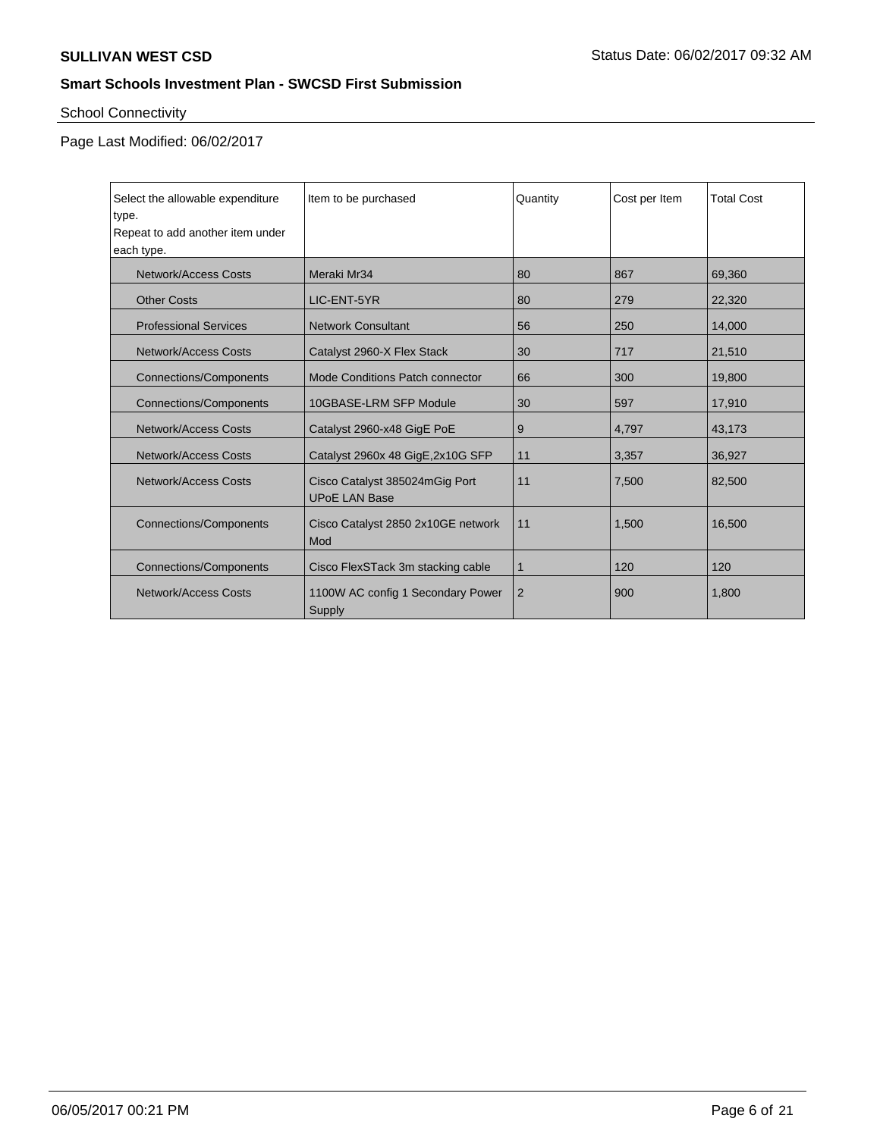# School Connectivity

| Select the allowable expenditure<br>type.<br>Repeat to add another item under<br>each type. | Item to be purchased                                   | Quantity | Cost per Item | <b>Total Cost</b> |
|---------------------------------------------------------------------------------------------|--------------------------------------------------------|----------|---------------|-------------------|
| Network/Access Costs                                                                        | Meraki Mr34                                            | 80       | 867           | 69,360            |
| <b>Other Costs</b>                                                                          | LIC-ENT-5YR                                            | 80       | 279           | 22,320            |
| <b>Professional Services</b>                                                                | <b>Network Consultant</b>                              | 56       | 250           | 14,000            |
| <b>Network/Access Costs</b>                                                                 | Catalyst 2960-X Flex Stack                             | 30       | 717           | 21,510            |
| <b>Connections/Components</b>                                                               | Mode Conditions Patch connector                        | 66       | 300           | 19,800            |
| <b>Connections/Components</b>                                                               | 10GBASE-LRM SFP Module                                 | 30       | 597           | 17,910            |
| <b>Network/Access Costs</b>                                                                 | Catalyst 2960-x48 GigE PoE                             | 9        | 4,797         | 43,173            |
| Network/Access Costs                                                                        | Catalyst 2960x 48 GigE, 2x10G SFP                      | 11       | 3,357         | 36,927            |
| Network/Access Costs                                                                        | Cisco Catalyst 385024mGig Port<br><b>UPoE LAN Base</b> | 11       | 7.500         | 82,500            |
| <b>Connections/Components</b>                                                               | Cisco Catalyst 2850 2x10GE network<br>Mod              | 11       | 1.500         | 16.500            |
| <b>Connections/Components</b>                                                               | Cisco FlexSTack 3m stacking cable                      | 1        | 120           | 120               |
| Network/Access Costs                                                                        | 1100W AC config 1 Secondary Power<br>Supply            | 2        | 900           | 1,800             |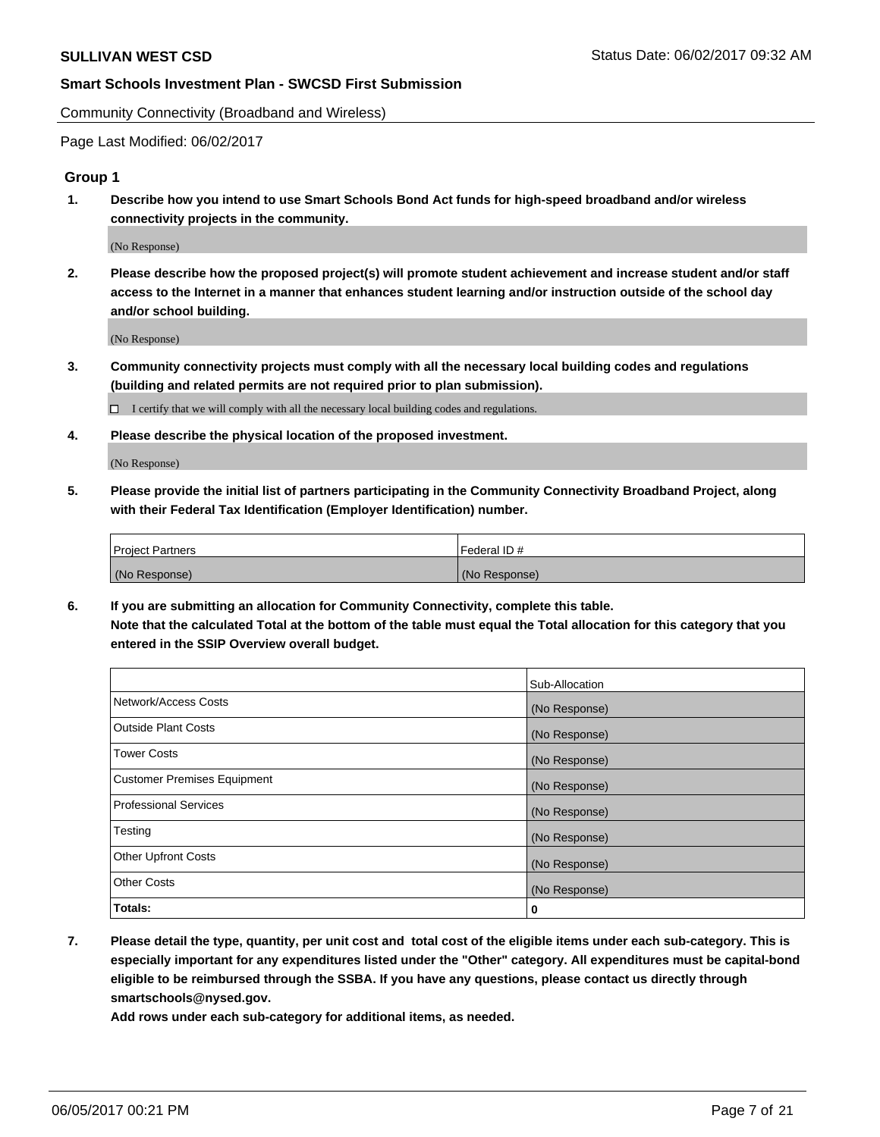Community Connectivity (Broadband and Wireless)

Page Last Modified: 06/02/2017

#### **Group 1**

**1. Describe how you intend to use Smart Schools Bond Act funds for high-speed broadband and/or wireless connectivity projects in the community.**

(No Response)

**2. Please describe how the proposed project(s) will promote student achievement and increase student and/or staff access to the Internet in a manner that enhances student learning and/or instruction outside of the school day and/or school building.**

(No Response)

**3. Community connectivity projects must comply with all the necessary local building codes and regulations (building and related permits are not required prior to plan submission).**

 $\Box$  I certify that we will comply with all the necessary local building codes and regulations.

**4. Please describe the physical location of the proposed investment.**

(No Response)

**5. Please provide the initial list of partners participating in the Community Connectivity Broadband Project, along with their Federal Tax Identification (Employer Identification) number.**

| <b>Project Partners</b> | Federal ID#     |
|-------------------------|-----------------|
| (No Response)           | l (No Response) |

**6. If you are submitting an allocation for Community Connectivity, complete this table. Note that the calculated Total at the bottom of the table must equal the Total allocation for this category that you entered in the SSIP Overview overall budget.**

|                                    | Sub-Allocation |
|------------------------------------|----------------|
| Network/Access Costs               | (No Response)  |
| Outside Plant Costs                | (No Response)  |
| <b>Tower Costs</b>                 | (No Response)  |
| <b>Customer Premises Equipment</b> | (No Response)  |
| <b>Professional Services</b>       | (No Response)  |
| Testing                            | (No Response)  |
| <b>Other Upfront Costs</b>         | (No Response)  |
| <b>Other Costs</b>                 | (No Response)  |
| Totals:                            | 0              |

**7. Please detail the type, quantity, per unit cost and total cost of the eligible items under each sub-category. This is especially important for any expenditures listed under the "Other" category. All expenditures must be capital-bond eligible to be reimbursed through the SSBA. If you have any questions, please contact us directly through smartschools@nysed.gov.**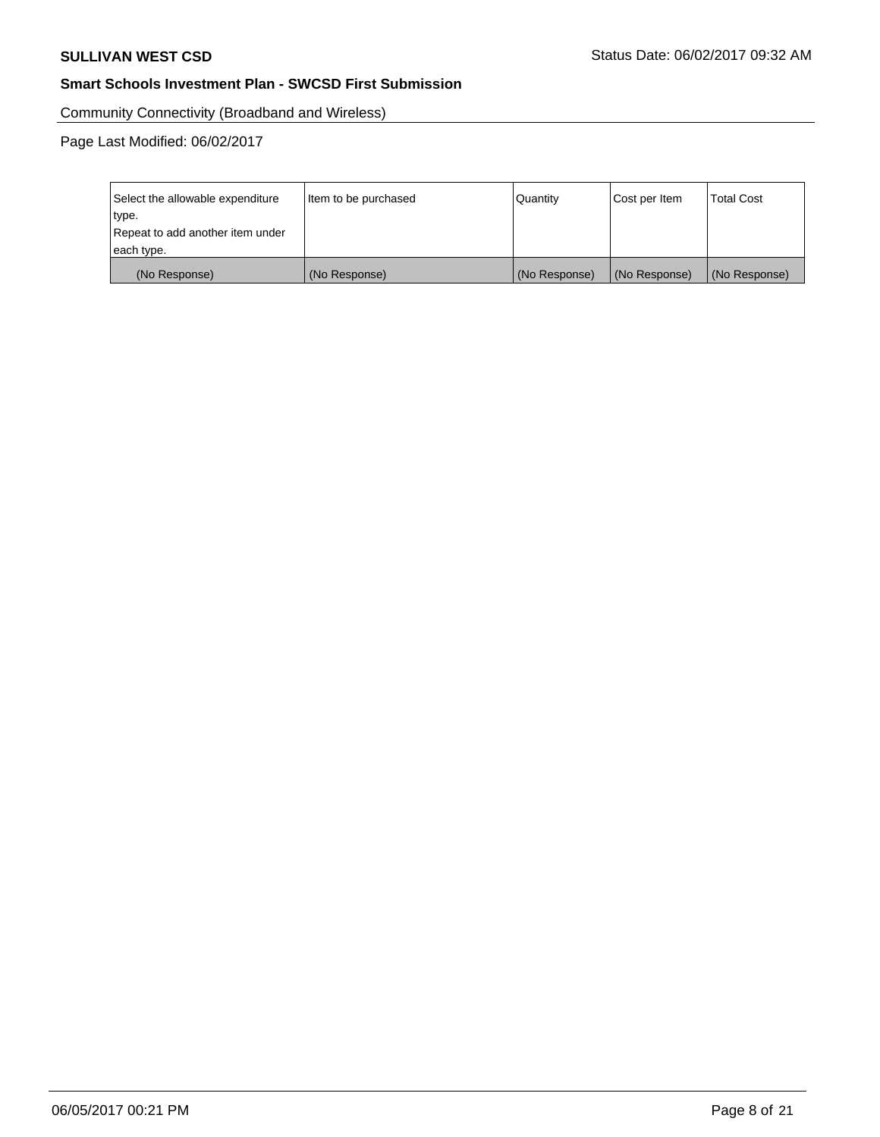Community Connectivity (Broadband and Wireless)

| Select the allowable expenditure<br>type.<br>Repeat to add another item under | Item to be purchased | Quantity      | Cost per Item | <b>Total Cost</b> |
|-------------------------------------------------------------------------------|----------------------|---------------|---------------|-------------------|
| each type.                                                                    |                      |               |               |                   |
| (No Response)                                                                 | (No Response)        | (No Response) | (No Response) | (No Response)     |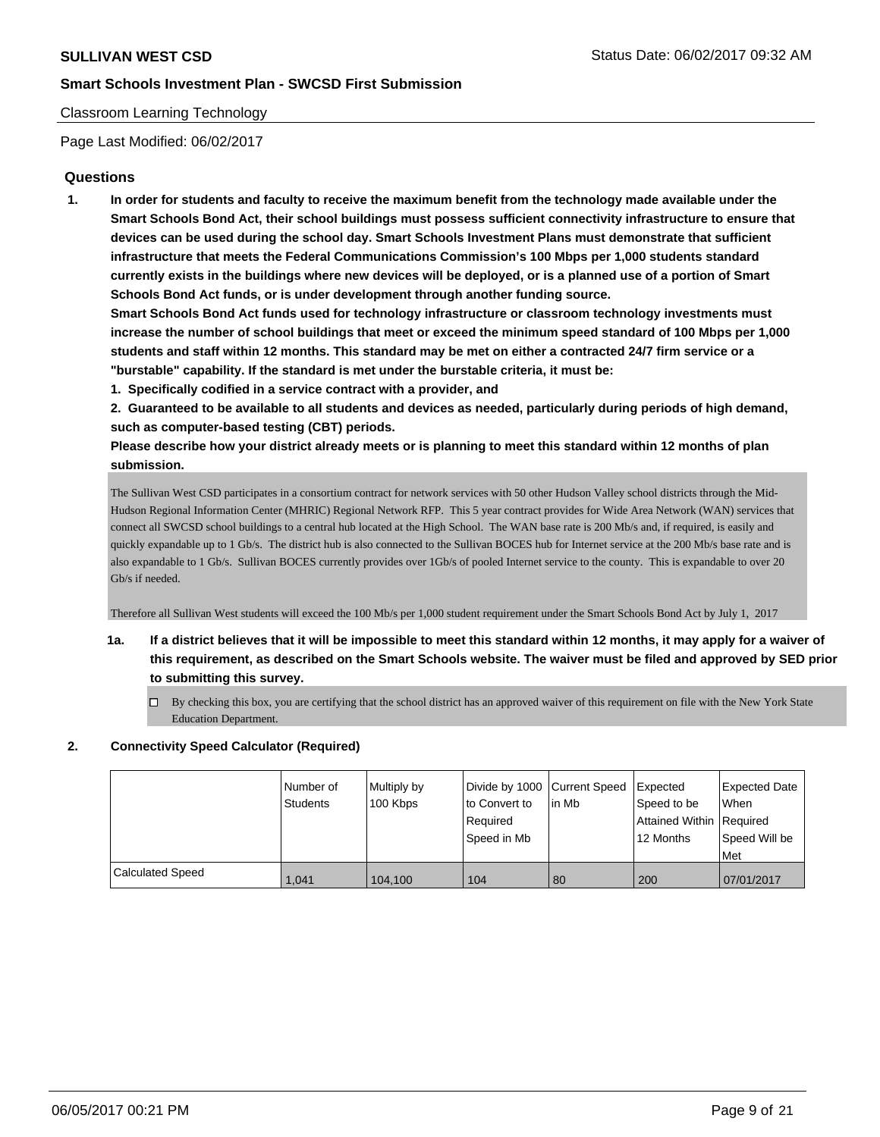#### Classroom Learning Technology

Page Last Modified: 06/02/2017

### **Questions**

**1. In order for students and faculty to receive the maximum benefit from the technology made available under the Smart Schools Bond Act, their school buildings must possess sufficient connectivity infrastructure to ensure that devices can be used during the school day. Smart Schools Investment Plans must demonstrate that sufficient infrastructure that meets the Federal Communications Commission's 100 Mbps per 1,000 students standard currently exists in the buildings where new devices will be deployed, or is a planned use of a portion of Smart Schools Bond Act funds, or is under development through another funding source.**

**Smart Schools Bond Act funds used for technology infrastructure or classroom technology investments must increase the number of school buildings that meet or exceed the minimum speed standard of 100 Mbps per 1,000 students and staff within 12 months. This standard may be met on either a contracted 24/7 firm service or a "burstable" capability. If the standard is met under the burstable criteria, it must be:**

**1. Specifically codified in a service contract with a provider, and**

**2. Guaranteed to be available to all students and devices as needed, particularly during periods of high demand, such as computer-based testing (CBT) periods.**

**Please describe how your district already meets or is planning to meet this standard within 12 months of plan submission.**

The Sullivan West CSD participates in a consortium contract for network services with 50 other Hudson Valley school districts through the Mid-Hudson Regional Information Center (MHRIC) Regional Network RFP. This 5 year contract provides for Wide Area Network (WAN) services that connect all SWCSD school buildings to a central hub located at the High School. The WAN base rate is 200 Mb/s and, if required, is easily and quickly expandable up to 1 Gb/s. The district hub is also connected to the Sullivan BOCES hub for Internet service at the 200 Mb/s base rate and is also expandable to 1 Gb/s. Sullivan BOCES currently provides over 1Gb/s of pooled Internet service to the county. This is expandable to over 20 Gb/s if needed.

Therefore all Sullivan West students will exceed the 100 Mb/s per 1,000 student requirement under the Smart Schools Bond Act by July 1, 2017

- **1a. If a district believes that it will be impossible to meet this standard within 12 months, it may apply for a waiver of this requirement, as described on the Smart Schools website. The waiver must be filed and approved by SED prior to submitting this survey.**
	- $\Box$  By checking this box, you are certifying that the school district has an approved waiver of this requirement on file with the New York State Education Department.

#### **2. Connectivity Speed Calculator (Required)**

|                  | Number of<br><b>Students</b> | Multiply by<br>100 Kbps | Divide by 1000 Current Speed<br>to Convert to<br>Required<br>Speed in Mb | lin Mb | <b>I</b> Expected<br>Speed to be<br>Attained Within Required<br>12 Months | <b>Expected Date</b><br>When<br>l Speed Will be<br>Met |
|------------------|------------------------------|-------------------------|--------------------------------------------------------------------------|--------|---------------------------------------------------------------------------|--------------------------------------------------------|
| Calculated Speed | 1.041                        | 104.100                 | 104                                                                      | 80     | 200                                                                       | 07/01/2017                                             |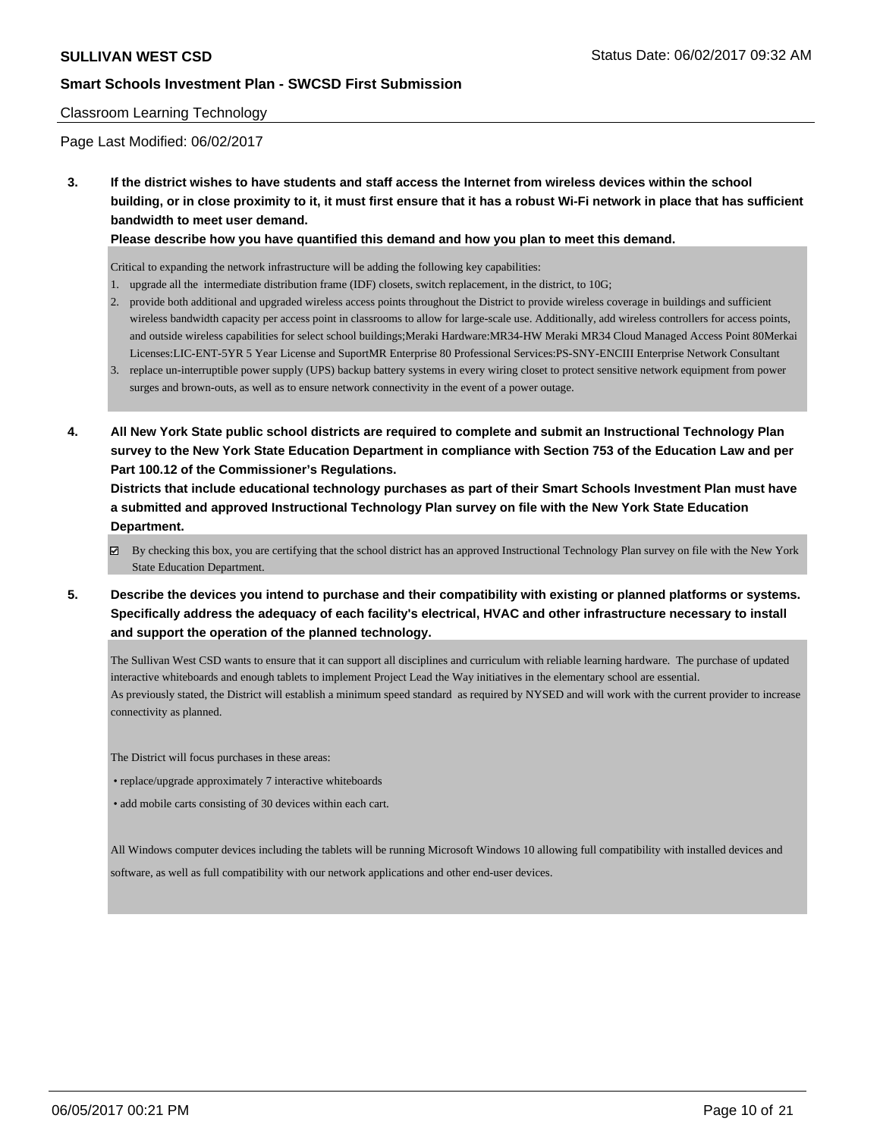#### Classroom Learning Technology

Page Last Modified: 06/02/2017

**3. If the district wishes to have students and staff access the Internet from wireless devices within the school building, or in close proximity to it, it must first ensure that it has a robust Wi-Fi network in place that has sufficient bandwidth to meet user demand.**

**Please describe how you have quantified this demand and how you plan to meet this demand.**

Critical to expanding the network infrastructure will be adding the following key capabilities:

- 1. upgrade all the intermediate distribution frame (IDF) closets, switch replacement, in the district, to 10G;
- 2. provide both additional and upgraded wireless access points throughout the District to provide wireless coverage in buildings and sufficient wireless bandwidth capacity per access point in classrooms to allow for large-scale use. Additionally, add wireless controllers for access points, and outside wireless capabilities for select school buildings;Meraki Hardware:MR34-HW Meraki MR34 Cloud Managed Access Point 80Merkai Licenses:LIC-ENT-5YR 5 Year License and SuportMR Enterprise 80 Professional Services:PS-SNY-ENCIII Enterprise Network Consultant
- 3. replace un-interruptible power supply (UPS) backup battery systems in every wiring closet to protect sensitive network equipment from power surges and brown-outs, as well as to ensure network connectivity in the event of a power outage.
- **4. All New York State public school districts are required to complete and submit an Instructional Technology Plan survey to the New York State Education Department in compliance with Section 753 of the Education Law and per Part 100.12 of the Commissioner's Regulations.**

**Districts that include educational technology purchases as part of their Smart Schools Investment Plan must have a submitted and approved Instructional Technology Plan survey on file with the New York State Education Department.**

- By checking this box, you are certifying that the school district has an approved Instructional Technology Plan survey on file with the New York State Education Department.
- **5. Describe the devices you intend to purchase and their compatibility with existing or planned platforms or systems. Specifically address the adequacy of each facility's electrical, HVAC and other infrastructure necessary to install and support the operation of the planned technology.**

The Sullivan West CSD wants to ensure that it can support all disciplines and curriculum with reliable learning hardware. The purchase of updated interactive whiteboards and enough tablets to implement Project Lead the Way initiatives in the elementary school are essential. As previously stated, the District will establish a minimum speed standard as required by NYSED and will work with the current provider to increase connectivity as planned.

The District will focus purchases in these areas:

• replace/upgrade approximately 7 interactive whiteboards

• add mobile carts consisting of 30 devices within each cart.

All Windows computer devices including the tablets will be running Microsoft Windows 10 allowing full compatibility with installed devices and software, as well as full compatibility with our network applications and other end-user devices.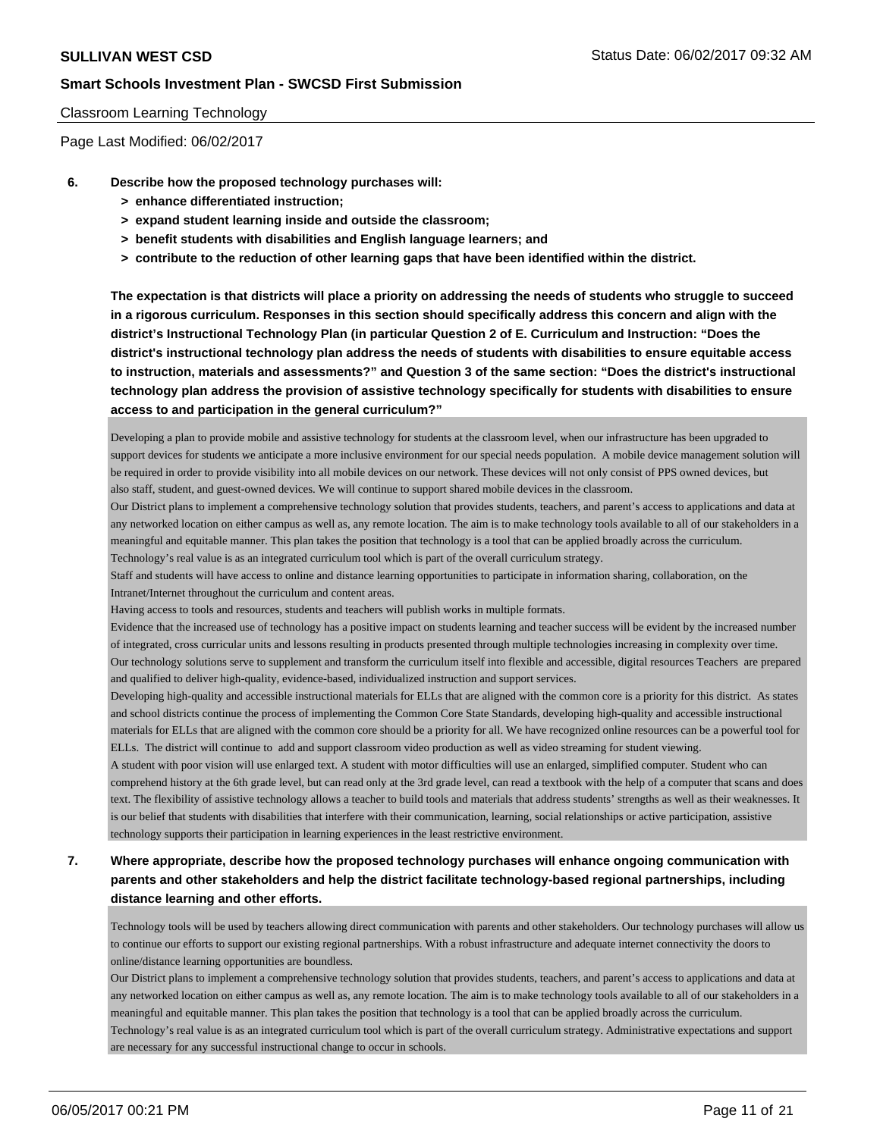#### Classroom Learning Technology

Page Last Modified: 06/02/2017

- **6. Describe how the proposed technology purchases will:**
	- **> enhance differentiated instruction;**
	- **> expand student learning inside and outside the classroom;**
	- **> benefit students with disabilities and English language learners; and**
	- **> contribute to the reduction of other learning gaps that have been identified within the district.**

**The expectation is that districts will place a priority on addressing the needs of students who struggle to succeed in a rigorous curriculum. Responses in this section should specifically address this concern and align with the district's Instructional Technology Plan (in particular Question 2 of E. Curriculum and Instruction: "Does the district's instructional technology plan address the needs of students with disabilities to ensure equitable access to instruction, materials and assessments?" and Question 3 of the same section: "Does the district's instructional technology plan address the provision of assistive technology specifically for students with disabilities to ensure access to and participation in the general curriculum?"**

Developing a plan to provide mobile and assistive technology for students at the classroom level, when our infrastructure has been upgraded to support devices for students we anticipate a more inclusive environment for our special needs population. A mobile device management solution will be required in order to provide visibility into all mobile devices on our network. These devices will not only consist of PPS owned devices, but also staff, student, and guest-owned devices. We will continue to support shared mobile devices in the classroom.

Our District plans to implement a comprehensive technology solution that provides students, teachers, and parent's access to applications and data at any networked location on either campus as well as, any remote location. The aim is to make technology tools available to all of our stakeholders in a meaningful and equitable manner. This plan takes the position that technology is a tool that can be applied broadly across the curriculum. Technology's real value is as an integrated curriculum tool which is part of the overall curriculum strategy.

Staff and students will have access to online and distance learning opportunities to participate in information sharing, collaboration, on the Intranet/Internet throughout the curriculum and content areas.

Having access to tools and resources, students and teachers will publish works in multiple formats.

Evidence that the increased use of technology has a positive impact on students learning and teacher success will be evident by the increased number of integrated, cross curricular units and lessons resulting in products presented through multiple technologies increasing in complexity over time. Our technology solutions serve to supplement and transform the curriculum itself into flexible and accessible, digital resources Teachers are prepared

and qualified to deliver high-quality, evidence-based, individualized instruction and support services.

Developing high-quality and accessible instructional materials for ELLs that are aligned with the common core is a priority for this district. As states and school districts continue the process of implementing the Common Core State Standards, developing high-quality and accessible instructional materials for ELLs that are aligned with the common core should be a priority for all. We have recognized online resources can be a powerful tool for ELLs. The district will continue to add and support classroom video production as well as video streaming for student viewing.

A student with poor vision will use enlarged text. A student with motor difficulties will use an enlarged, simplified computer. Student who can comprehend history at the 6th grade level, but can read only at the 3rd grade level, can read a textbook with the help of a computer that scans and does text. The flexibility of assistive technology allows a teacher to build tools and materials that address students' strengths as well as their weaknesses. It is our belief that students with disabilities that interfere with their communication, learning, social relationships or active participation, assistive technology supports their participation in learning experiences in the least restrictive environment.

## **7. Where appropriate, describe how the proposed technology purchases will enhance ongoing communication with parents and other stakeholders and help the district facilitate technology-based regional partnerships, including distance learning and other efforts.**

Technology tools will be used by teachers allowing direct communication with parents and other stakeholders. Our technology purchases will allow us to continue our efforts to support our existing regional partnerships. With a robust infrastructure and adequate internet connectivity the doors to online/distance learning opportunities are boundless.

Our District plans to implement a comprehensive technology solution that provides students, teachers, and parent's access to applications and data at any networked location on either campus as well as, any remote location. The aim is to make technology tools available to all of our stakeholders in a meaningful and equitable manner. This plan takes the position that technology is a tool that can be applied broadly across the curriculum. Technology's real value is as an integrated curriculum tool which is part of the overall curriculum strategy. Administrative expectations and support are necessary for any successful instructional change to occur in schools.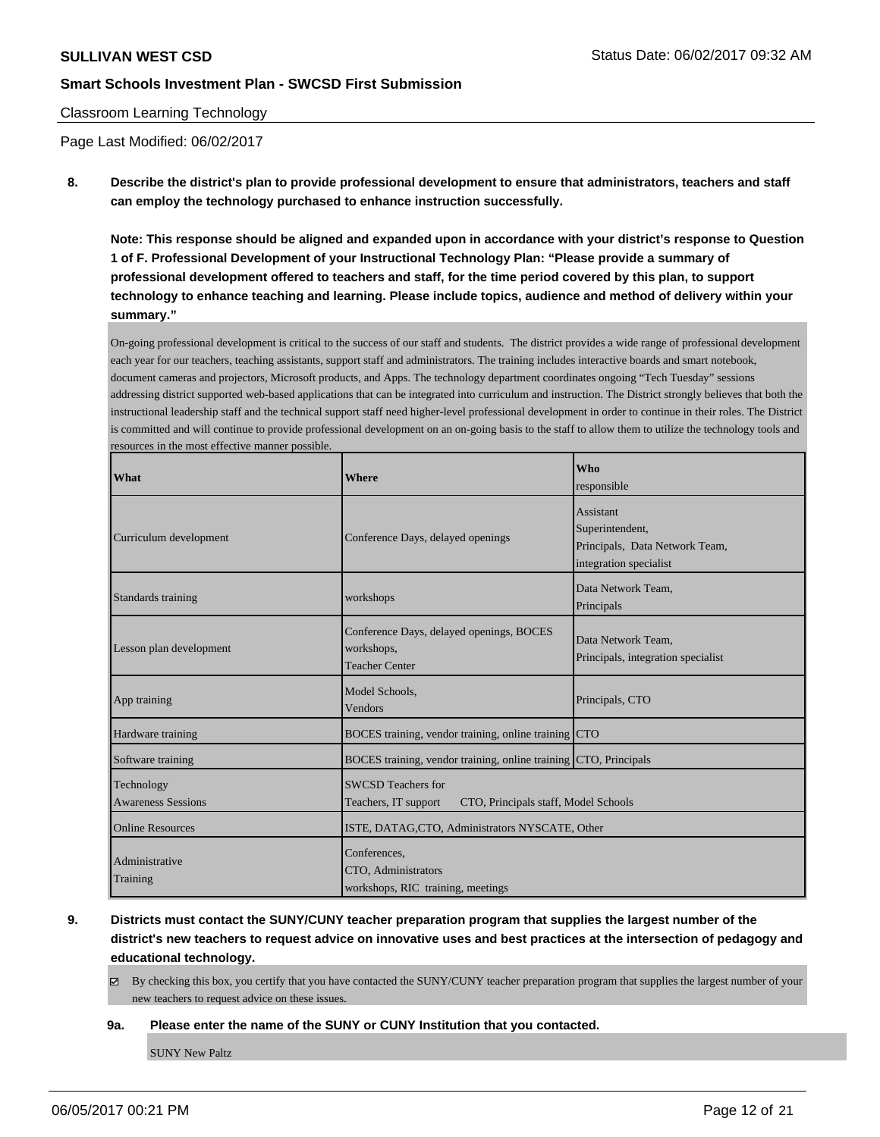#### Classroom Learning Technology

Page Last Modified: 06/02/2017

**8. Describe the district's plan to provide professional development to ensure that administrators, teachers and staff can employ the technology purchased to enhance instruction successfully.**

**Note: This response should be aligned and expanded upon in accordance with your district's response to Question 1 of F. Professional Development of your Instructional Technology Plan: "Please provide a summary of professional development offered to teachers and staff, for the time period covered by this plan, to support technology to enhance teaching and learning. Please include topics, audience and method of delivery within your summary."**

On-going professional development is critical to the success of our staff and students. The district provides a wide range of professional development each year for our teachers, teaching assistants, support staff and administrators. The training includes interactive boards and smart notebook, document cameras and projectors, Microsoft products, and Apps. The technology department coordinates ongoing "Tech Tuesday" sessions addressing district supported web-based applications that can be integrated into curriculum and instruction. The District strongly believes that both the instructional leadership staff and the technical support staff need higher-level professional development in order to continue in their roles. The District is committed and will continue to provide professional development on an on-going basis to the staff to allow them to utilize the technology tools and resources in the most effective manner possible.

| <b>What</b>                             | <b>Where</b>                                                                       | <b>Who</b><br>responsible                                                                |  |  |
|-----------------------------------------|------------------------------------------------------------------------------------|------------------------------------------------------------------------------------------|--|--|
| Curriculum development                  | Conference Days, delayed openings                                                  | Assistant<br>Superintendent,<br>Principals, Data Network Team,<br>integration specialist |  |  |
| Standards training                      | workshops                                                                          | Data Network Team,<br>Principals                                                         |  |  |
| Lesson plan development                 | Conference Days, delayed openings, BOCES<br>workshops,<br><b>Teacher Center</b>    | Data Network Team.<br>Principals, integration specialist                                 |  |  |
| App training                            | Model Schools.<br>Vendors                                                          | Principals, CTO                                                                          |  |  |
| Hardware training                       | BOCES training, vendor training, online training CTO                               |                                                                                          |  |  |
| Software training                       | BOCES training, vendor training, online training CTO, Principals                   |                                                                                          |  |  |
| Technology<br><b>Awareness Sessions</b> | SWCSD Teachers for<br>CTO, Principals staff, Model Schools<br>Teachers, IT support |                                                                                          |  |  |
| <b>Online Resources</b>                 | ISTE, DATAG, CTO, Administrators NYSCATE, Other                                    |                                                                                          |  |  |
| Administrative<br>Training              | Conferences,<br>CTO, Administrators<br>workshops, RIC training, meetings           |                                                                                          |  |  |

- **9. Districts must contact the SUNY/CUNY teacher preparation program that supplies the largest number of the district's new teachers to request advice on innovative uses and best practices at the intersection of pedagogy and educational technology.**
	- $\boxtimes$  By checking this box, you certify that you have contacted the SUNY/CUNY teacher preparation program that supplies the largest number of your new teachers to request advice on these issues.

#### **9a. Please enter the name of the SUNY or CUNY Institution that you contacted.**

SUNY New Paltz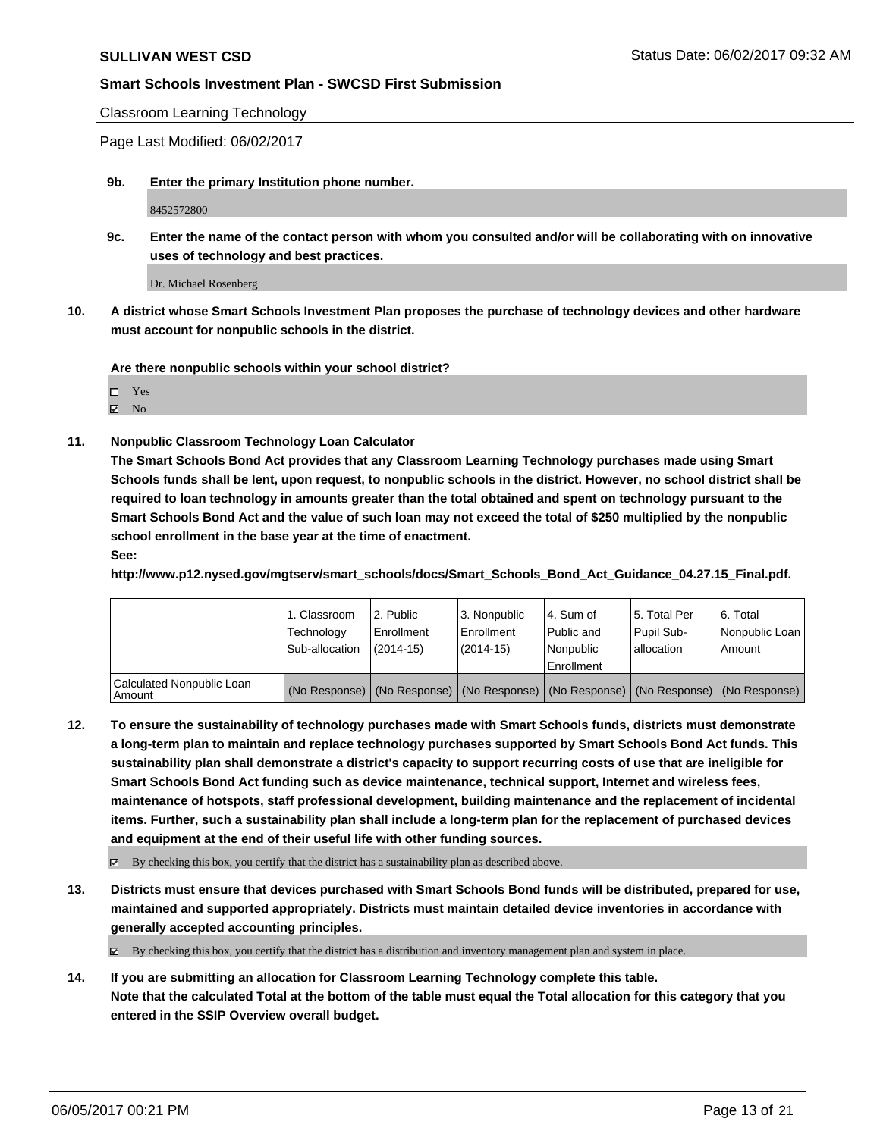Classroom Learning Technology

Page Last Modified: 06/02/2017

**9b. Enter the primary Institution phone number.**

8452572800

**9c. Enter the name of the contact person with whom you consulted and/or will be collaborating with on innovative uses of technology and best practices.**

Dr. Michael Rosenberg

**10. A district whose Smart Schools Investment Plan proposes the purchase of technology devices and other hardware must account for nonpublic schools in the district.**

**Are there nonpublic schools within your school district?**

 $\boxtimes$  No

**11. Nonpublic Classroom Technology Loan Calculator**

**The Smart Schools Bond Act provides that any Classroom Learning Technology purchases made using Smart Schools funds shall be lent, upon request, to nonpublic schools in the district. However, no school district shall be required to loan technology in amounts greater than the total obtained and spent on technology pursuant to the Smart Schools Bond Act and the value of such loan may not exceed the total of \$250 multiplied by the nonpublic school enrollment in the base year at the time of enactment.**

**See:**

**http://www.p12.nysed.gov/mgtserv/smart\_schools/docs/Smart\_Schools\_Bond\_Act\_Guidance\_04.27.15\_Final.pdf.**

|                                       | 1. Classroom<br>Technology<br>Sub-allocation | 2. Public<br>l Enrollment<br>$(2014 - 15)$ | 3. Nonpublic<br>Enrollment<br>$(2014-15)$ | l 4. Sum of<br>Public and<br>l Nonpublic<br>l Enrollment | 15. Total Per<br>Pupil Sub-<br>lallocation                                                    | l 6. Total<br>Nonpublic Loan<br>Amount |
|---------------------------------------|----------------------------------------------|--------------------------------------------|-------------------------------------------|----------------------------------------------------------|-----------------------------------------------------------------------------------------------|----------------------------------------|
| Calculated Nonpublic Loan<br>l Amount |                                              |                                            |                                           |                                                          | (No Response)   (No Response)   (No Response)   (No Response)   (No Response)   (No Response) |                                        |

**12. To ensure the sustainability of technology purchases made with Smart Schools funds, districts must demonstrate a long-term plan to maintain and replace technology purchases supported by Smart Schools Bond Act funds. This sustainability plan shall demonstrate a district's capacity to support recurring costs of use that are ineligible for Smart Schools Bond Act funding such as device maintenance, technical support, Internet and wireless fees, maintenance of hotspots, staff professional development, building maintenance and the replacement of incidental items. Further, such a sustainability plan shall include a long-term plan for the replacement of purchased devices and equipment at the end of their useful life with other funding sources.**

 $\boxtimes$  By checking this box, you certify that the district has a sustainability plan as described above.

**13. Districts must ensure that devices purchased with Smart Schools Bond funds will be distributed, prepared for use, maintained and supported appropriately. Districts must maintain detailed device inventories in accordance with generally accepted accounting principles.**

 $\boxtimes$  By checking this box, you certify that the district has a distribution and inventory management plan and system in place.

**14. If you are submitting an allocation for Classroom Learning Technology complete this table. Note that the calculated Total at the bottom of the table must equal the Total allocation for this category that you entered in the SSIP Overview overall budget.**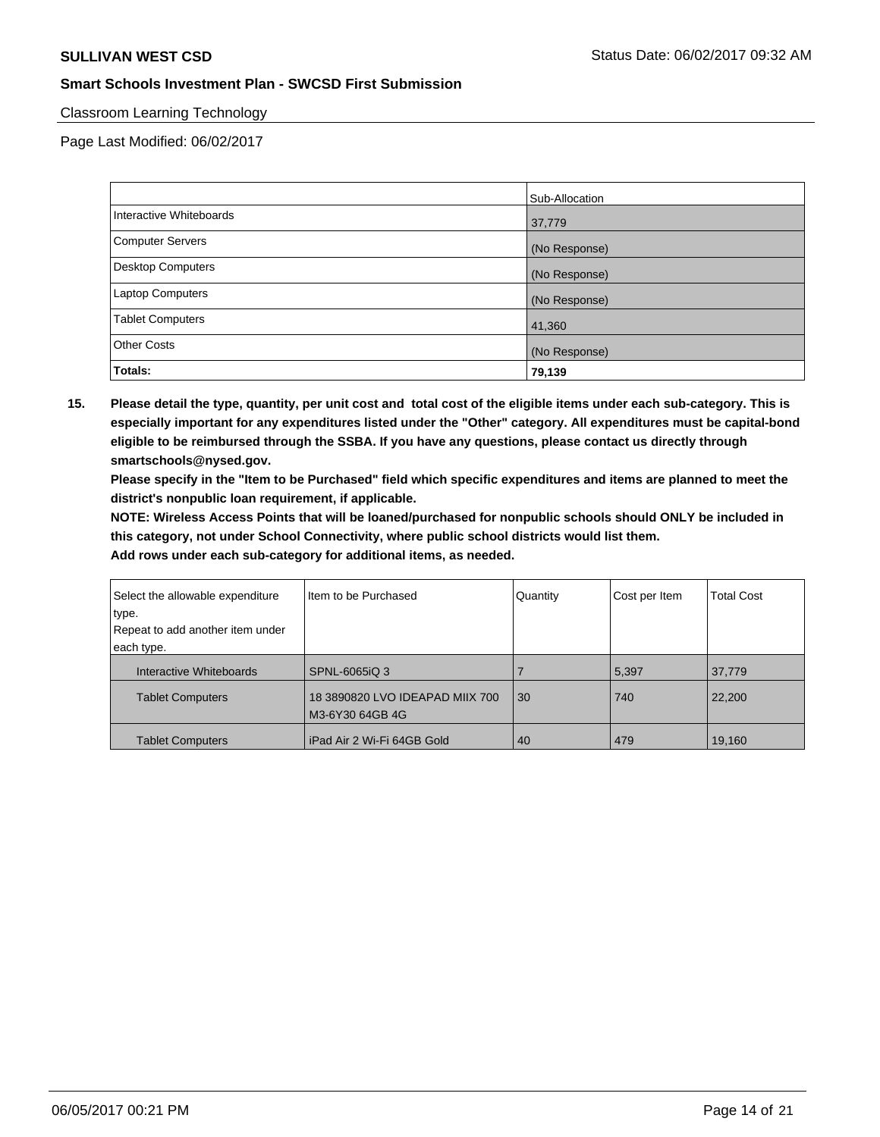### Classroom Learning Technology

Page Last Modified: 06/02/2017

|                         | Sub-Allocation |
|-------------------------|----------------|
| Interactive Whiteboards | 37,779         |
| Computer Servers        | (No Response)  |
| Desktop Computers       | (No Response)  |
| Laptop Computers        | (No Response)  |
| <b>Tablet Computers</b> | 41,360         |
| <b>Other Costs</b>      | (No Response)  |
| Totals:                 | 79,139         |

**15. Please detail the type, quantity, per unit cost and total cost of the eligible items under each sub-category. This is especially important for any expenditures listed under the "Other" category. All expenditures must be capital-bond eligible to be reimbursed through the SSBA. If you have any questions, please contact us directly through smartschools@nysed.gov.**

**Please specify in the "Item to be Purchased" field which specific expenditures and items are planned to meet the district's nonpublic loan requirement, if applicable.**

**NOTE: Wireless Access Points that will be loaned/purchased for nonpublic schools should ONLY be included in this category, not under School Connectivity, where public school districts would list them.**

| Select the allowable expenditure | Item to be Purchased                               | Quantity | Cost per Item | <b>Total Cost</b> |
|----------------------------------|----------------------------------------------------|----------|---------------|-------------------|
| type.                            |                                                    |          |               |                   |
| Repeat to add another item under |                                                    |          |               |                   |
| each type.                       |                                                    |          |               |                   |
| Interactive Whiteboards          | SPNL-6065iQ 3                                      |          | 5,397         | 37,779            |
| <b>Tablet Computers</b>          | 18 3890820 LVO IDEAPAD MIIX 700<br>M3-6Y30 64GB 4G | 30       | 740           | 22,200            |
| <b>Tablet Computers</b>          | iPad Air 2 Wi-Fi 64GB Gold                         | 40       | 479           | 19,160            |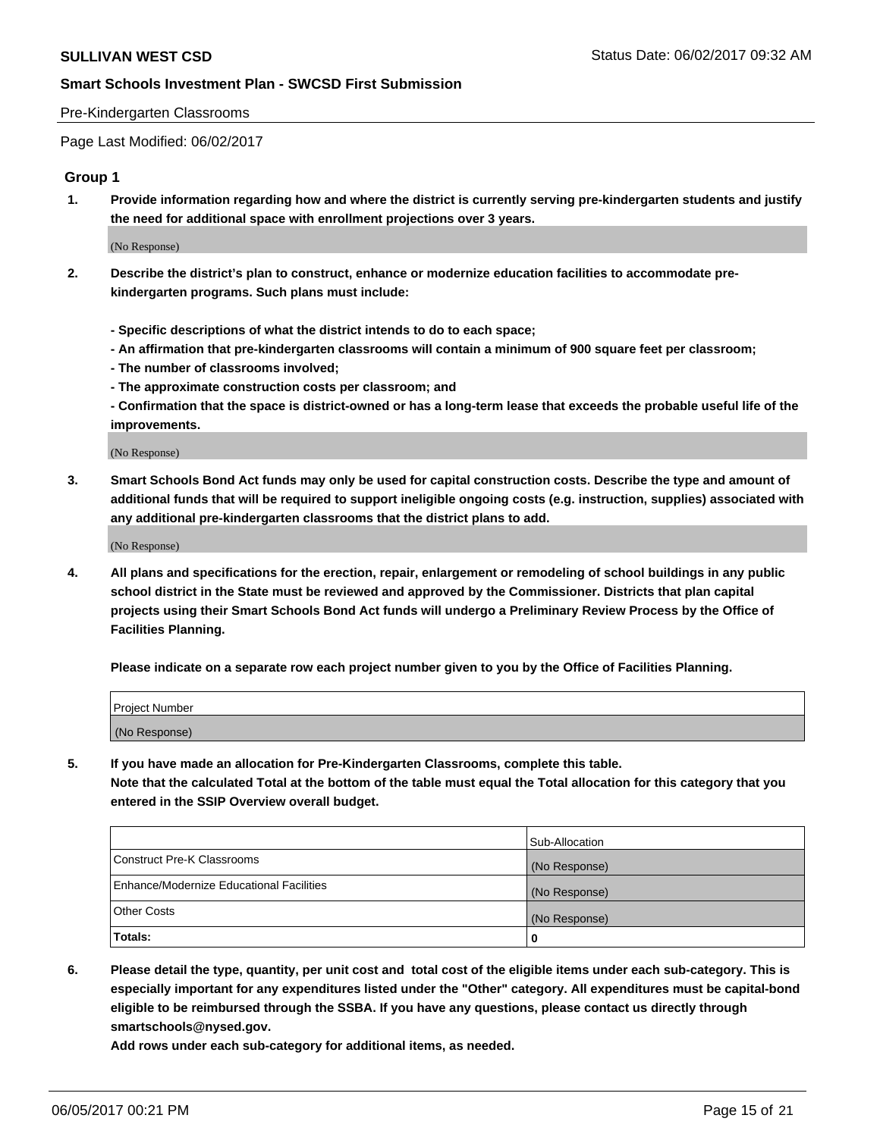#### Pre-Kindergarten Classrooms

Page Last Modified: 06/02/2017

### **Group 1**

**1. Provide information regarding how and where the district is currently serving pre-kindergarten students and justify the need for additional space with enrollment projections over 3 years.**

(No Response)

- **2. Describe the district's plan to construct, enhance or modernize education facilities to accommodate prekindergarten programs. Such plans must include:**
	- **Specific descriptions of what the district intends to do to each space;**
	- **An affirmation that pre-kindergarten classrooms will contain a minimum of 900 square feet per classroom;**
	- **The number of classrooms involved;**
	- **The approximate construction costs per classroom; and**
	- **Confirmation that the space is district-owned or has a long-term lease that exceeds the probable useful life of the improvements.**

(No Response)

**3. Smart Schools Bond Act funds may only be used for capital construction costs. Describe the type and amount of additional funds that will be required to support ineligible ongoing costs (e.g. instruction, supplies) associated with any additional pre-kindergarten classrooms that the district plans to add.**

(No Response)

**4. All plans and specifications for the erection, repair, enlargement or remodeling of school buildings in any public school district in the State must be reviewed and approved by the Commissioner. Districts that plan capital projects using their Smart Schools Bond Act funds will undergo a Preliminary Review Process by the Office of Facilities Planning.**

**Please indicate on a separate row each project number given to you by the Office of Facilities Planning.**

| <b>Project Number</b> |  |
|-----------------------|--|
| (No Response)         |  |

**5. If you have made an allocation for Pre-Kindergarten Classrooms, complete this table. Note that the calculated Total at the bottom of the table must equal the Total allocation for this category that you entered in the SSIP Overview overall budget.**

| Totals:                                  | 0              |
|------------------------------------------|----------------|
| Other Costs                              | (No Response)  |
| Enhance/Modernize Educational Facilities | (No Response)  |
| Construct Pre-K Classrooms               | (No Response)  |
|                                          | Sub-Allocation |

**6. Please detail the type, quantity, per unit cost and total cost of the eligible items under each sub-category. This is especially important for any expenditures listed under the "Other" category. All expenditures must be capital-bond eligible to be reimbursed through the SSBA. If you have any questions, please contact us directly through smartschools@nysed.gov.**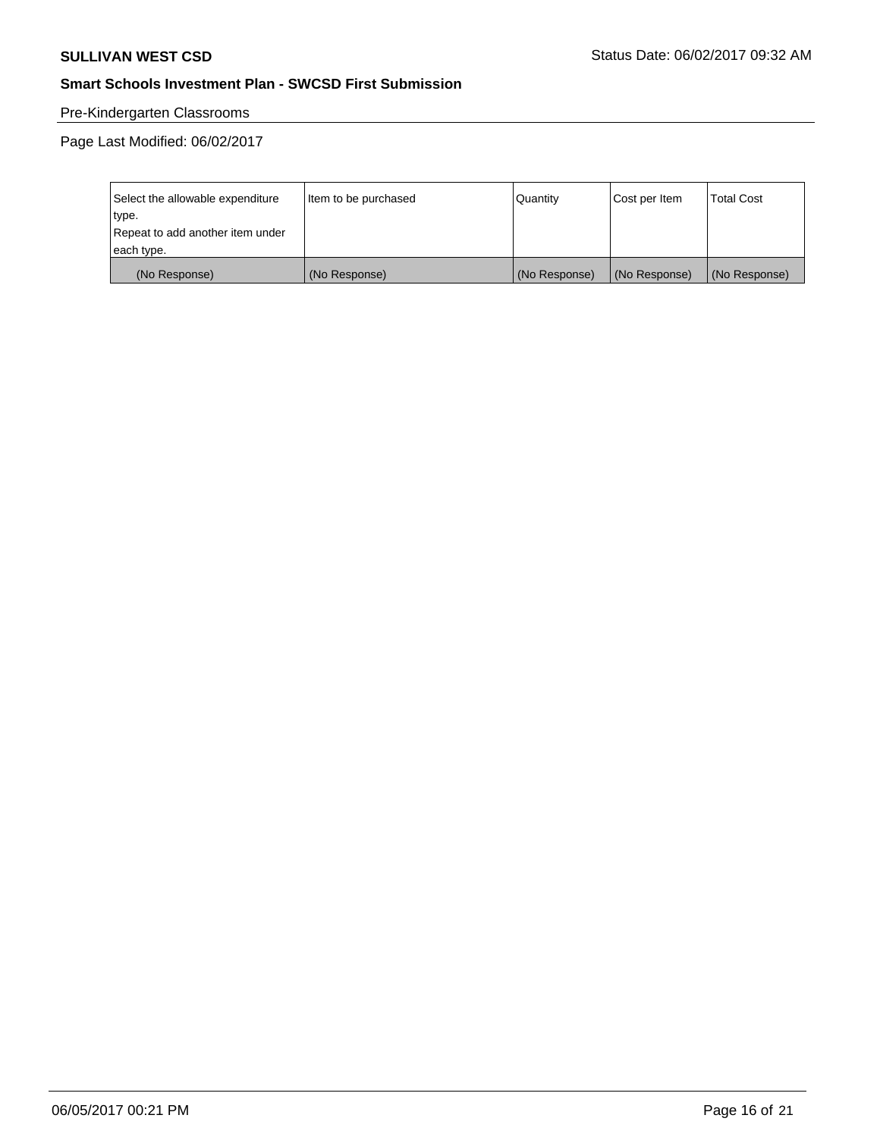## Pre-Kindergarten Classrooms

| Select the allowable expenditure | Item to be purchased | Quantity      | Cost per Item | <b>Total Cost</b> |
|----------------------------------|----------------------|---------------|---------------|-------------------|
| type.                            |                      |               |               |                   |
| Repeat to add another item under |                      |               |               |                   |
| each type.                       |                      |               |               |                   |
| (No Response)                    | (No Response)        | (No Response) | (No Response) | (No Response)     |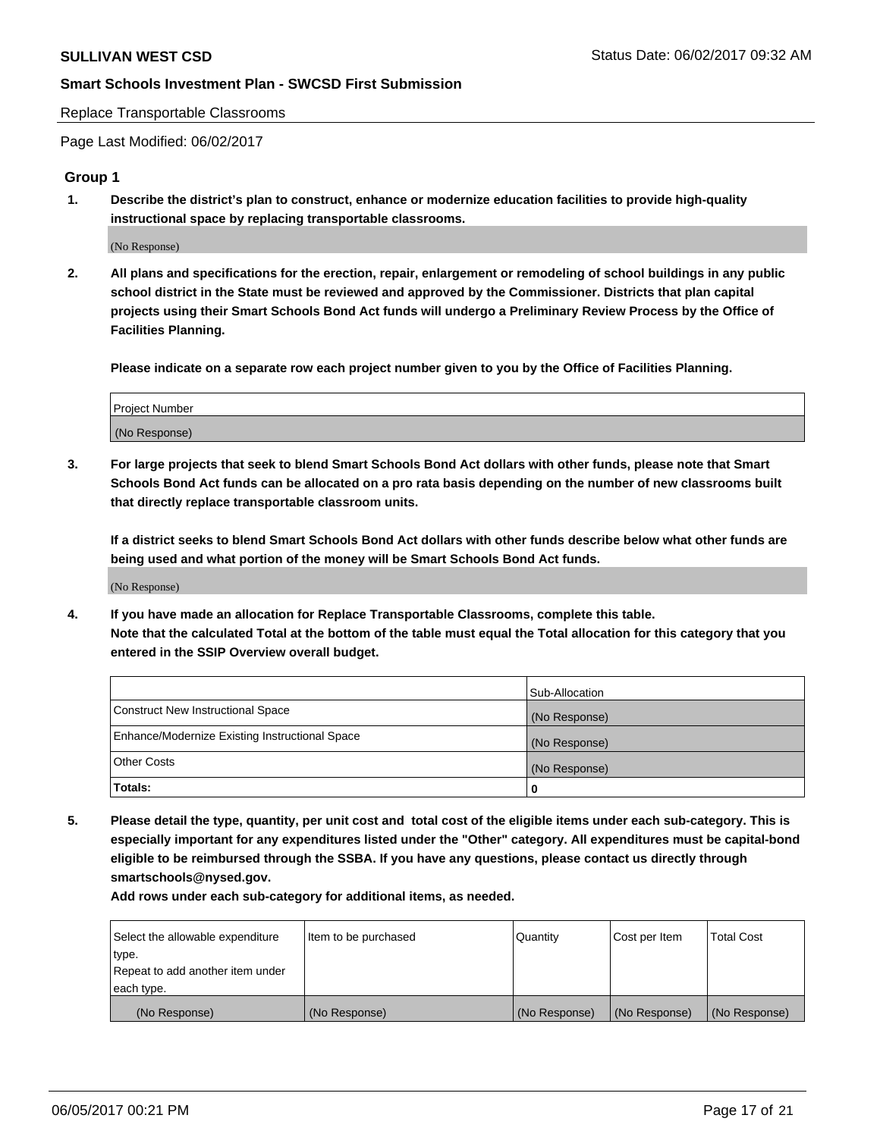Replace Transportable Classrooms

Page Last Modified: 06/02/2017

#### **Group 1**

**1. Describe the district's plan to construct, enhance or modernize education facilities to provide high-quality instructional space by replacing transportable classrooms.**

(No Response)

**2. All plans and specifications for the erection, repair, enlargement or remodeling of school buildings in any public school district in the State must be reviewed and approved by the Commissioner. Districts that plan capital projects using their Smart Schools Bond Act funds will undergo a Preliminary Review Process by the Office of Facilities Planning.**

**Please indicate on a separate row each project number given to you by the Office of Facilities Planning.**

| Project Number |  |
|----------------|--|
| (No Response)  |  |

**3. For large projects that seek to blend Smart Schools Bond Act dollars with other funds, please note that Smart Schools Bond Act funds can be allocated on a pro rata basis depending on the number of new classrooms built that directly replace transportable classroom units.**

**If a district seeks to blend Smart Schools Bond Act dollars with other funds describe below what other funds are being used and what portion of the money will be Smart Schools Bond Act funds.**

(No Response)

**4. If you have made an allocation for Replace Transportable Classrooms, complete this table. Note that the calculated Total at the bottom of the table must equal the Total allocation for this category that you entered in the SSIP Overview overall budget.**

|                                                | Sub-Allocation |
|------------------------------------------------|----------------|
| Construct New Instructional Space              | (No Response)  |
| Enhance/Modernize Existing Instructional Space | (No Response)  |
| Other Costs                                    | (No Response)  |
| Totals:                                        | $\Omega$       |

**5. Please detail the type, quantity, per unit cost and total cost of the eligible items under each sub-category. This is especially important for any expenditures listed under the "Other" category. All expenditures must be capital-bond eligible to be reimbursed through the SSBA. If you have any questions, please contact us directly through smartschools@nysed.gov.**

| Select the allowable expenditure | Item to be purchased | Quantity      | Cost per Item | <b>Total Cost</b> |
|----------------------------------|----------------------|---------------|---------------|-------------------|
| type.                            |                      |               |               |                   |
| Repeat to add another item under |                      |               |               |                   |
| each type.                       |                      |               |               |                   |
| (No Response)                    | (No Response)        | (No Response) | (No Response) | (No Response)     |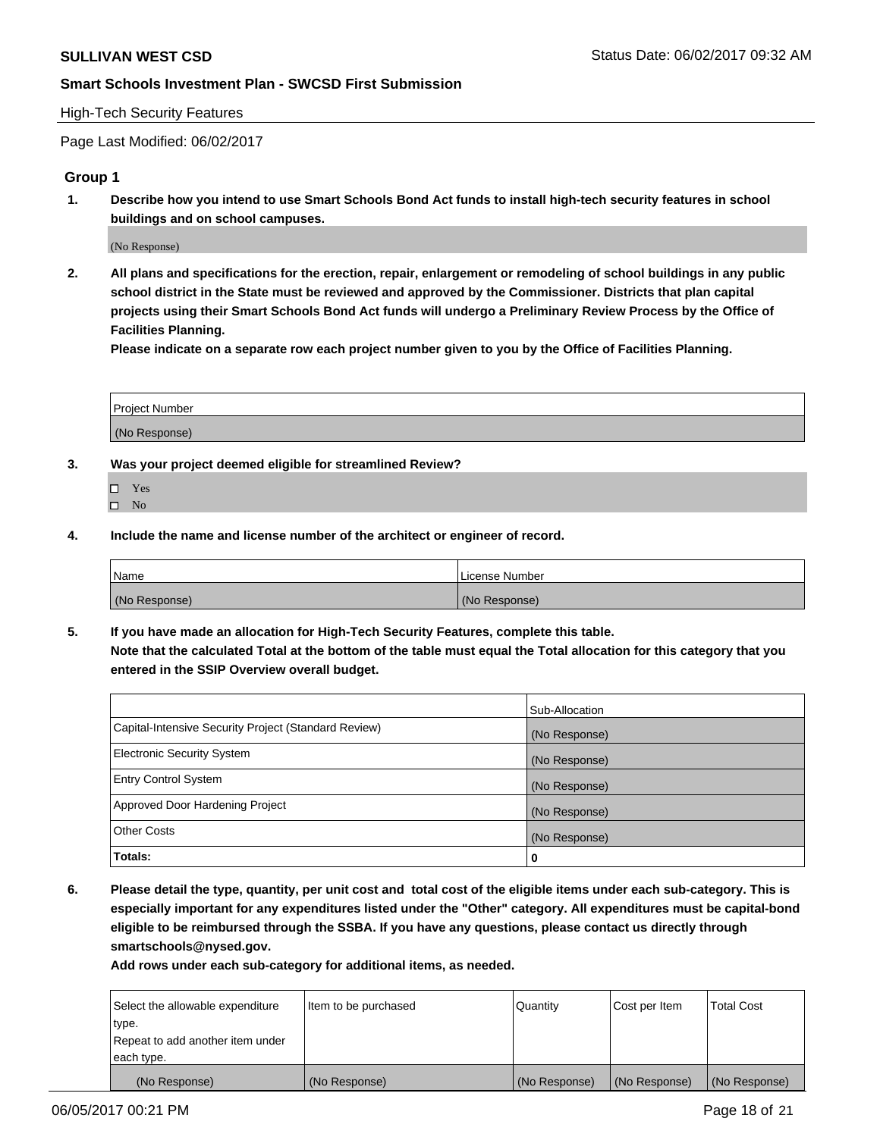#### High-Tech Security Features

Page Last Modified: 06/02/2017

### **Group 1**

**1. Describe how you intend to use Smart Schools Bond Act funds to install high-tech security features in school buildings and on school campuses.**

(No Response)

**2. All plans and specifications for the erection, repair, enlargement or remodeling of school buildings in any public school district in the State must be reviewed and approved by the Commissioner. Districts that plan capital projects using their Smart Schools Bond Act funds will undergo a Preliminary Review Process by the Office of Facilities Planning.** 

**Please indicate on a separate row each project number given to you by the Office of Facilities Planning.**

| Project Number |  |
|----------------|--|
|                |  |
| (No Response)  |  |

- **3. Was your project deemed eligible for streamlined Review?**
	- Yes  $\hfill \square$  No
- **4. Include the name and license number of the architect or engineer of record.**

| Name          | License Number |
|---------------|----------------|
| (No Response) | (No Response)  |

**5. If you have made an allocation for High-Tech Security Features, complete this table. Note that the calculated Total at the bottom of the table must equal the Total allocation for this category that you entered in the SSIP Overview overall budget.**

|                                                      | Sub-Allocation |
|------------------------------------------------------|----------------|
| Capital-Intensive Security Project (Standard Review) | (No Response)  |
| Electronic Security System                           | (No Response)  |
| <b>Entry Control System</b>                          | (No Response)  |
| Approved Door Hardening Project                      | (No Response)  |
| <b>Other Costs</b>                                   | (No Response)  |
| Totals:                                              | 0              |

**6. Please detail the type, quantity, per unit cost and total cost of the eligible items under each sub-category. This is especially important for any expenditures listed under the "Other" category. All expenditures must be capital-bond eligible to be reimbursed through the SSBA. If you have any questions, please contact us directly through smartschools@nysed.gov.**

| Select the allowable expenditure | Item to be purchased | Quantity      | Cost per Item | <b>Total Cost</b> |
|----------------------------------|----------------------|---------------|---------------|-------------------|
| type.                            |                      |               |               |                   |
| Repeat to add another item under |                      |               |               |                   |
| each type.                       |                      |               |               |                   |
| (No Response)                    | (No Response)        | (No Response) | (No Response) | (No Response)     |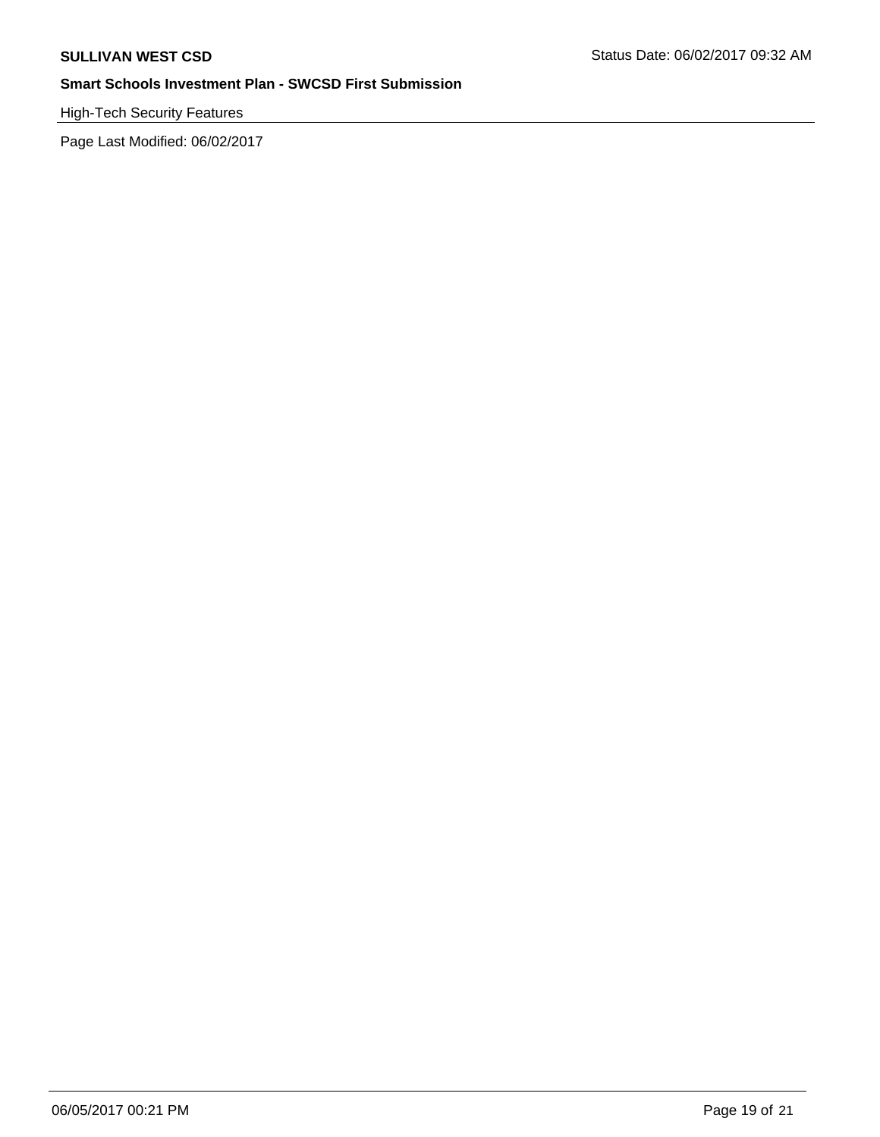High-Tech Security Features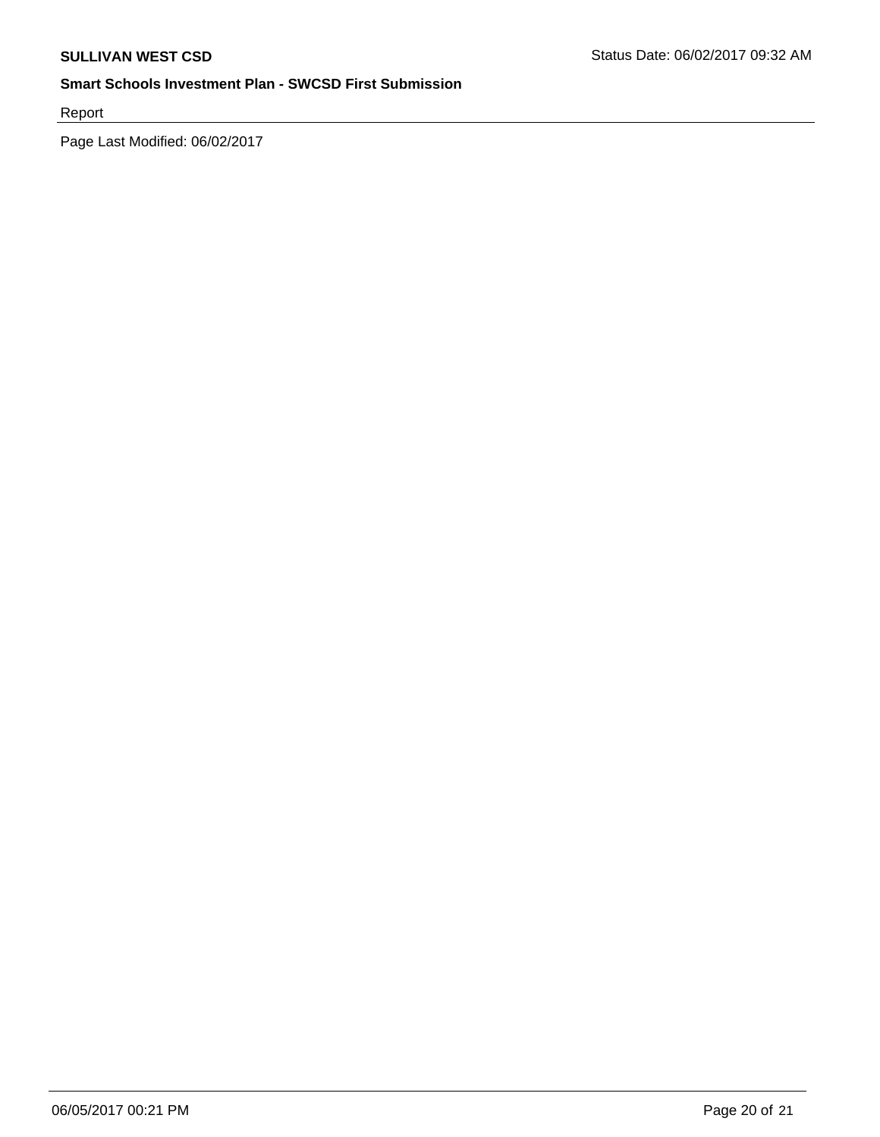Report